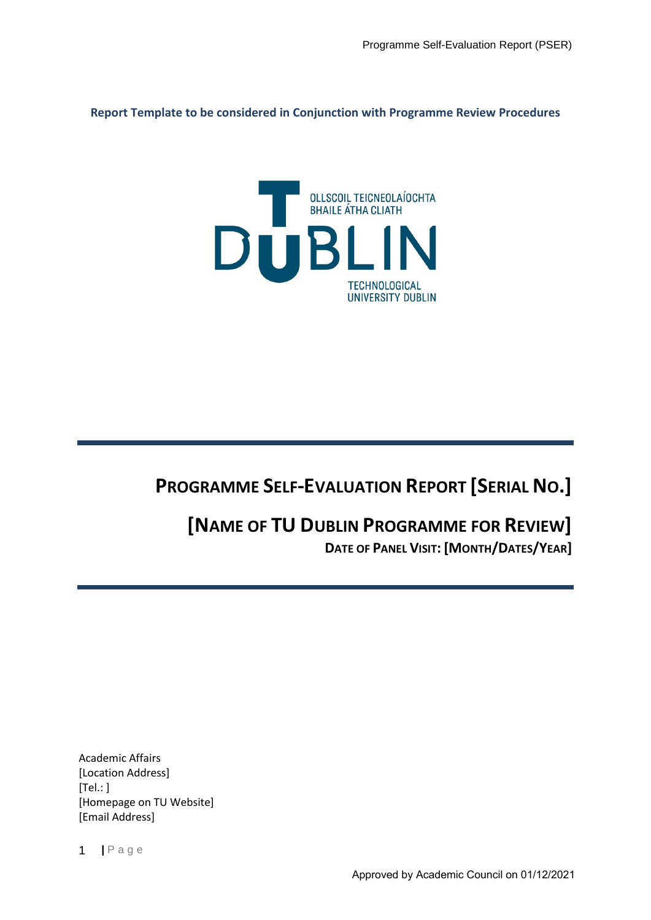**Report Template to be considered in Conjunction with Programme Review Procedures**



## **PROGRAMME SELF-EVALUATION REPORT [SERIAL NO.]**

## **[NAME OF TU DUBLIN PROGRAMME FOR REVIEW] DATE OF PANEL VISIT: [MONTH/DATES/YEAR]**

Academic Affairs [Location Address]  $[Tel: ]$ [Homepage on TU Website] [Email Address]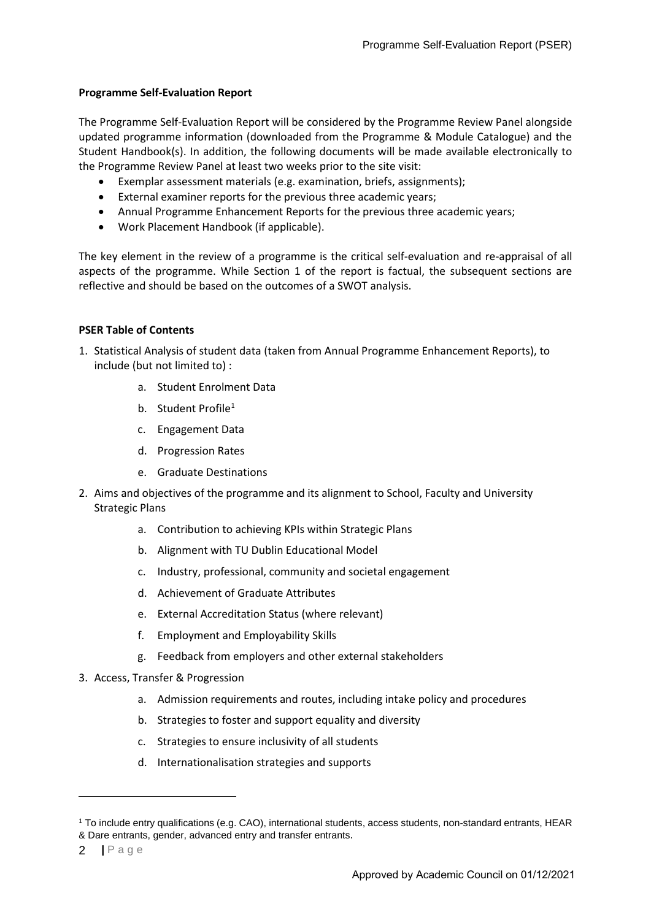## **Programme Self-Evaluation Report**

The Programme Self-Evaluation Report will be considered by the Programme Review Panel alongside updated programme information (downloaded from the Programme & Module Catalogue) and the Student Handbook(s). In addition, the following documents will be made available electronically to the Programme Review Panel at least two weeks prior to the site visit:

- Exemplar assessment materials (e.g. examination, briefs, assignments);
- External examiner reports for the previous three academic years;
- Annual Programme Enhancement Reports for the previous three academic years;
- Work Placement Handbook (if applicable).

The key element in the review of a programme is the critical self-evaluation and re-appraisal of all aspects of the programme. While Section 1 of the report is factual, the subsequent sections are reflective and should be based on the outcomes of a SWOT analysis.

## **PSER Table of Contents**

- 1. Statistical Analysis of student data (taken from Annual Programme Enhancement Reports), to include (but not limited to) :
	- a. Student Enrolment Data
	- b. Student Profile<sup>1</sup>
	- c. Engagement Data
	- d. Progression Rates
	- e. Graduate Destinations
- 2. Aims and objectives of the programme and its alignment to School, Faculty and University Strategic Plans
	- a. Contribution to achieving KPIs within Strategic Plans
	- b. Alignment with TU Dublin Educational Model
	- c. Industry, professional, community and societal engagement
	- d. Achievement of Graduate Attributes
	- e. External Accreditation Status (where relevant)
	- f. Employment and Employability Skills
	- g. Feedback from employers and other external stakeholders
- 3. Access, Transfer & Progression
	- a. Admission requirements and routes, including intake policy and procedures
	- b. Strategies to foster and support equality and diversity
	- c. Strategies to ensure inclusivity of all students
	- d. Internationalisation strategies and supports

<span id="page-1-0"></span><sup>1</sup> To include entry qualifications (e.g. CAO), international students, access students, non-standard entrants, HEAR & Dare entrants, gender, advanced entry and transfer entrants.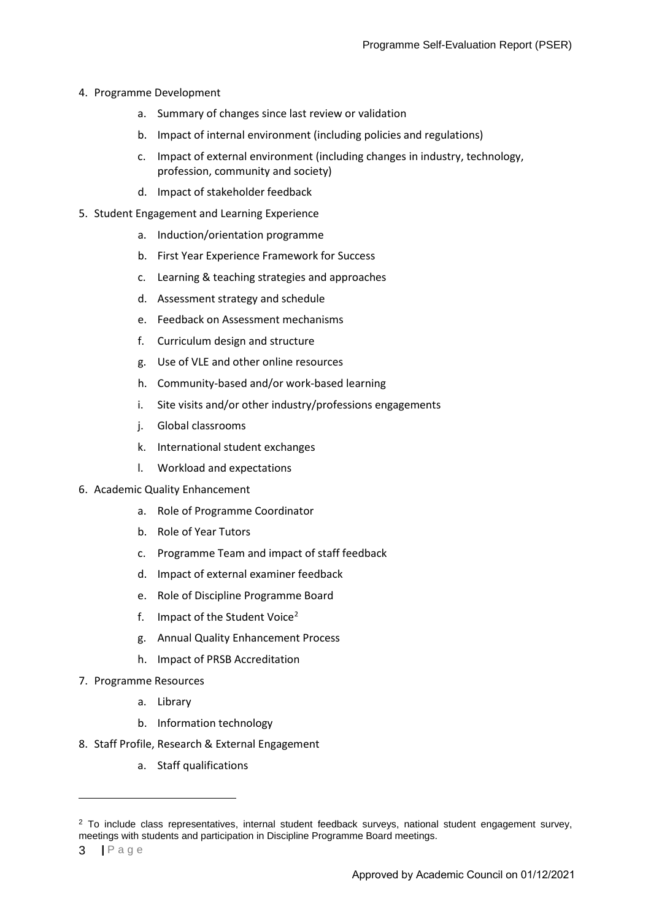- 4. Programme Development
	- a. Summary of changes since last review or validation
	- b. Impact of internal environment (including policies and regulations)
	- c. Impact of external environment (including changes in industry, technology, profession, community and society)
	- d. Impact of stakeholder feedback
- 5. Student Engagement and Learning Experience
	- a. Induction/orientation programme
	- b. First Year Experience Framework for Success
	- c. Learning & teaching strategies and approaches
	- d. Assessment strategy and schedule
	- e. Feedback on Assessment mechanisms
	- f. Curriculum design and structure
	- g. Use of VLE and other online resources
	- h. Community-based and/or work-based learning
	- i. Site visits and/or other industry/professions engagements
	- j. Global classrooms
	- k. International student exchanges
	- l. Workload and expectations
- 6. Academic Quality Enhancement
	- a. Role of Programme Coordinator
	- b. Role of Year Tutors
	- c. Programme Team and impact of staff feedback
	- d. Impact of external examiner feedback
	- e. Role of Discipline Programme Board
	- f. Impact of the Student Voice<sup>[2](#page-2-0)</sup>
	- g. Annual Quality Enhancement Process
	- h. Impact of PRSB Accreditation
- 7. Programme Resources
	- a. Library
	- b. Information technology
- 8. Staff Profile, Research & External Engagement
	- a. Staff qualifications

<span id="page-2-0"></span> $2$  To include class representatives, internal student feedback surveys, national student engagement survey, meetings with students and participation in Discipline Programme Board meetings.